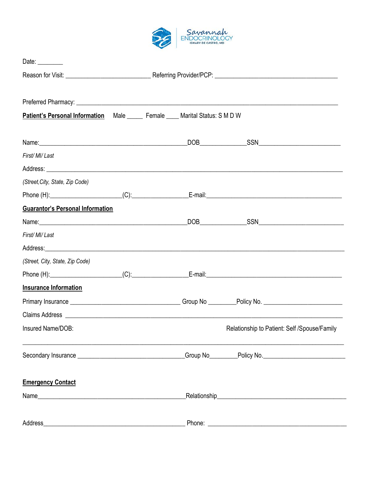

| Date: $\_\_$                                                                           |  |  |  |                                                                                                      |  |
|----------------------------------------------------------------------------------------|--|--|--|------------------------------------------------------------------------------------------------------|--|
|                                                                                        |  |  |  |                                                                                                      |  |
|                                                                                        |  |  |  |                                                                                                      |  |
| <b>Patient's Personal Information</b> Male ______ Female _____ Marital Status: S M D W |  |  |  |                                                                                                      |  |
|                                                                                        |  |  |  |                                                                                                      |  |
| First/ MI/ Last                                                                        |  |  |  |                                                                                                      |  |
|                                                                                        |  |  |  |                                                                                                      |  |
| (Street, City, State, Zip Code)                                                        |  |  |  |                                                                                                      |  |
|                                                                                        |  |  |  |                                                                                                      |  |
| <b>Guarantor's Personal Information</b>                                                |  |  |  |                                                                                                      |  |
|                                                                                        |  |  |  |                                                                                                      |  |
| First/ MI/ Last                                                                        |  |  |  |                                                                                                      |  |
|                                                                                        |  |  |  |                                                                                                      |  |
| (Street, City, State, Zip Code)                                                        |  |  |  |                                                                                                      |  |
|                                                                                        |  |  |  |                                                                                                      |  |
| Insurance Information                                                                  |  |  |  |                                                                                                      |  |
|                                                                                        |  |  |  |                                                                                                      |  |
|                                                                                        |  |  |  |                                                                                                      |  |
| Insured Name/DOB:                                                                      |  |  |  | Relationship to Patient: Self /Spouse/Family                                                         |  |
|                                                                                        |  |  |  | Secondary Insurance _________________________________Group No_________Policy No. ___________________ |  |
| <b>Emergency Contact</b>                                                               |  |  |  |                                                                                                      |  |
|                                                                                        |  |  |  |                                                                                                      |  |
|                                                                                        |  |  |  |                                                                                                      |  |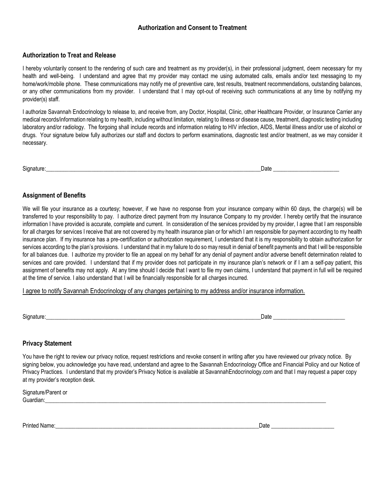## **Authorization and Consent to Treatment**

#### **Authorization to Treat and Release**

I hereby voluntarily consent to the rendering of such care and treatment as my provider(s), in their professional judgment, deem necessary for my health and well-being. I understand and agree that my provider may contact me using automated calls, emails and/or text messaging to my home/work/mobile phone. These communications may notify me of preventive care, test results, treatment recommendations, outstanding balances, or any other communications from my provider. I understand that I may opt-out of receiving such communications at any time by notifying my provider(s) staff.

I authorize Savannah Endocrinology to release to, and receive from, any Doctor, Hospital, Clinic, other Healthcare Provider, or Insurance Carrier any medical records/information relating to my health, including without limitation, relating to illness or disease cause, treatment, diagnostic testing including laboratory and/or radiology. The forgoing shall include records and information relating to HIV infection, AIDS, Mental illness and/or use of alcohol or drugs. Your signature below fully authorizes our staff and doctors to perform examinations, diagnostic test and/or treatment, as we may consider it necessary.

Signature:\_\_\_\_\_\_\_\_\_\_\_\_\_\_\_\_\_\_\_\_\_\_\_\_\_\_\_\_\_\_\_\_\_\_\_\_\_\_\_\_\_\_\_\_\_\_\_\_\_\_\_\_\_\_\_\_\_\_\_\_\_\_\_\_\_\_\_\_\_\_\_\_\_\_\_Date \_\_\_\_\_\_\_\_\_\_\_\_\_\_\_\_\_\_\_\_\_\_\_

### **Assignment of Benefits**

We will file your insurance as a courtesy; however, if we have no response from your insurance company within 60 days, the charge(s) will be transferred to your responsibility to pay. I authorize direct payment from my Insurance Company to my provider. I hereby certify that the insurance information I have provided is accurate, complete and current. In consideration of the services provided by my provider, I agree that I am responsible for all charges for services I receive that are not covered by my health insurance plan or for which I am responsible for payment according to my health insurance plan. If my insurance has a pre-certification or authorization requirement, I understand that it is my responsibility to obtain authorization for services according to the plan's provisions. I understand that in my failure to do so may result in denial of benefit payments and that I will be responsible for all balances due. I authorize my provider to file an appeal on my behalf for any denial of payment and/or adverse benefit determination related to services and care provided. I understand that if my provider does not participate in my insurance plan's network or if I am a self-pay patient, this assignment of benefits may not apply. At any time should I decide that I want to file my own claims, I understand that payment in full will be required at the time of service. I also understand that I will be financially responsible for all charges incurred.

#### I agree to notify Savannah Endocrinology of any changes pertaining to my address and/or insurance information.

Signature:\_\_\_\_\_\_\_\_\_\_\_\_\_\_\_\_\_\_\_\_\_\_\_\_\_\_\_\_\_\_\_\_\_\_\_\_\_\_\_\_\_\_\_\_\_\_\_\_\_\_\_\_\_\_\_\_\_\_\_\_\_\_\_\_\_\_\_\_\_\_\_\_\_\_\_Date \_\_\_\_\_\_\_\_\_\_\_\_\_\_\_\_\_\_\_\_\_\_\_\_\_

#### **Privacy Statement**

You have the right to review our privacy notice, request restrictions and revoke consent in writing after you have reviewed our privacy notice. By signing below, you acknowledge you have read, understand and agree to the Savannah Endocrinology Office and Financial Policy and our Notice of Privacy Practices. I understand that my provider's Privacy Notice is available at SavannahEndocrinology.com and that I may request a paper copy at my provider's reception desk.

Signature/Parent or Guardian:\_\_\_\_\_\_\_\_\_\_\_\_\_\_\_\_\_\_\_\_\_\_\_\_\_\_\_\_\_\_\_\_\_\_\_\_\_\_\_\_\_\_\_\_\_\_\_\_\_\_\_\_\_\_\_\_\_\_\_\_\_\_\_\_\_\_\_\_\_\_\_\_\_\_\_\_\_\_\_\_\_\_\_\_\_\_\_\_\_\_\_\_\_\_\_\_\_\_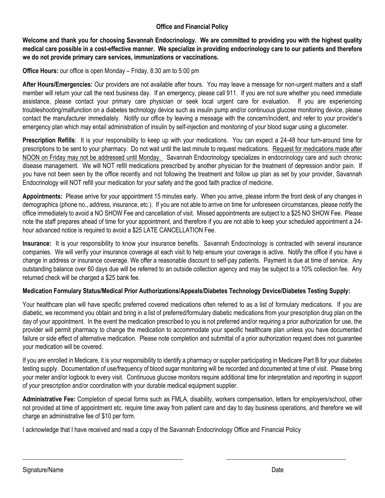## **Office and Financial Policy**

**Welcome and thank you for choosing Savannah Endocrinology. We are committed to providing you with the highest quality medical care possible in a cost-effective manner. We specialize in providing endocrinology care to our patients and therefore we do not provide primary care services, immunizations or vaccinations.** 

**Office Hours:** our office is open Monday – Friday, 8:30 am to 5:00 pm

**After Hours/Emergencies:** Our providers are not available after hours. You may leave a message for non-urgent matters and a staff member will return your call the next business day. If an emergency, please call 911. If you are not sure whether you need immediate assistance, please contact your primary care physician or seek local urgent care for evaluation. If you are experiencing troubleshooting/malfunction on a diabetes technology device such as insulin pump and/or continuous glucose monitoring device, please contact the manufacturer immediately. Notify our office by leaving a message with the concern/incident, and refer to your provider's emergency plan which may entail administration of insulin by self-injection and monitoring of your blood sugar using a glucometer.

**Prescription Refills**: It is your responsibility to keep up with your medications. You can expect a 24-48 hour turn-around time for prescriptions to be sent to your pharmacy. Do not wait until the last minute to request medications. Request for medications made after NOON on Friday may not be addressed until Monday. Savannah Endocrinology specializes in endocrinology care and such chronic disease management. We will NOT refill medications prescribed by another physician for the treatment of depression and/or pain. If you have not been seen by the office recently and not following the treatment and follow up plan as set by your provider, Savannah Endocrinology will NOT refill your medication for your safety and the good faith practice of medicine.

**Appointments:** Please arrive for your appointment 15 minutes early. When you arrive, please inform the front desk of any changes in demographics (phone no., address, insurance, etc.). If you are not able to arrive on time for unforeseen circumstances, please notify the office immediately to avoid a NO SHOW Fee and cancellation of visit. Missed appointments are subject to a \$25 NO SHOW Fee. Please note the staff prepares ahead of time for your appointment, and therefore if you are not able to keep your scheduled appointment a 24 hour advanced notice is required to avoid a \$25 LATE CANCELLATION Fee.

**Insurance:** It is your responsibility to know your insurance benefits. Savannah Endocrinology is contracted with several insurance companies. We will verify your insurance coverage at each visit to help ensure your coverage is active. Notify the office if you have a change in address or insurance coverage. We offer a reasonable discount to self-pay patients. Payment is due at time of service. Any outstanding balance over 60 days due will be referred to an outside collection agency and may be subject to a 10% collection fee. Any returned check will be charged a \$25 bank fee.

## **Medication Formulary Status/Medical Prior Authorizations/Appeals/Diabetes Technology Device/Diabetes Testing Supply:**

Your healthcare plan will have specific preferred covered medications often referred to as a list of formulary medications. If you are diabetic, we recommend you obtain and bring in a list of preferred/formulary diabetic medications from your prescription drug plan on the day of your appointment. In the event the medication prescribed to you is not preferred and/or requiring a prior authorization for use, the provider will permit pharmacy to change the medication to accommodate your specific healthcare plan unless you have documented failure or side effect of alternative medication. Please note completion and submittal of a prior authorization request does not guarantee your medication will be covered.

If you are enrolled in Medicare, it is your responsibility to identify a pharmacy or supplier participating in Medicare Part B for your diabetes testing supply. Documentation of use/frequency of blood sugar monitoring will be recorded and documented at time of visit. Please bring your meter and/or logbook to every visit. Continuous glucose monitors require additional time for interpretation and reporting in support of your prescription and/or coordination with your durable medical equipment supplier.

**Administrative Fee:** Completion of special forms such as FMLA, disability, workers compensation, letters for employers/school, other not provided at time of appointment etc. require time away from patient care and day to day business operations, and therefore we will charge an administrative fee of \$10 per form.

 $\_$  , and the set of the set of the set of the set of the set of the set of the set of the set of the set of the set of the set of the set of the set of the set of the set of the set of the set of the set of the set of th

I acknowledge that I have received and read a copy of the Savannah Endocrinology Office and Financial Policy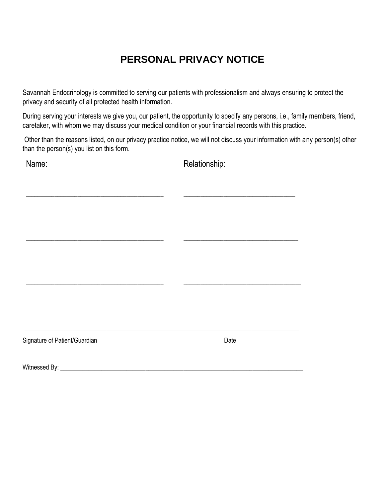# **PERSONAL PRIVACY NOTICE**

Savannah Endocrinology is committed to serving our patients with professionalism and always ensuring to protect the privacy and security of all protected health information.

During serving your interests we give you, our patient, the opportunity to specify any persons, i.e., family members, friend, caretaker, with whom we may discuss your medical condition or your financial records with this practice.

Other than the reasons listed, on our privacy practice notice, we will not discuss your information with any person(s) other than the person(s) you list on this form.

 $\frac{1}{\sqrt{2}}$  ,  $\frac{1}{\sqrt{2}}$  ,  $\frac{1}{\sqrt{2}}$  ,  $\frac{1}{\sqrt{2}}$  ,  $\frac{1}{\sqrt{2}}$  ,  $\frac{1}{\sqrt{2}}$  ,  $\frac{1}{\sqrt{2}}$  ,  $\frac{1}{\sqrt{2}}$  ,  $\frac{1}{\sqrt{2}}$  ,  $\frac{1}{\sqrt{2}}$  ,  $\frac{1}{\sqrt{2}}$  ,  $\frac{1}{\sqrt{2}}$  ,  $\frac{1}{\sqrt{2}}$  ,  $\frac{1}{\sqrt{2}}$  ,  $\frac{1}{\sqrt{2}}$ 

\_\_\_\_\_\_\_\_\_\_\_\_\_\_\_\_\_\_\_\_\_\_\_\_\_\_\_\_\_\_\_\_\_\_\_\_\_\_\_\_\_\_\_\_\_\_\_\_ \_\_\_\_\_\_\_\_\_\_\_\_\_\_\_\_\_\_\_\_\_\_\_\_\_\_\_\_\_\_\_\_\_\_\_\_\_\_\_\_

 $\_$  ,  $\_$  ,  $\_$  ,  $\_$  ,  $\_$  ,  $\_$  ,  $\_$  ,  $\_$  ,  $\_$  ,  $\_$  ,  $\_$  ,  $\_$  ,  $\_$  ,  $\_$  ,  $\_$  ,  $\_$  ,  $\_$  ,  $\_$  ,  $\_$  ,  $\_$ 

\_\_\_\_\_\_\_\_\_\_\_\_\_\_\_\_\_\_\_\_\_\_\_\_\_\_\_\_\_\_\_\_\_\_\_\_\_\_\_\_\_\_\_\_\_\_\_\_\_\_\_\_\_\_\_\_\_\_\_\_\_\_\_\_\_\_\_\_\_\_\_\_\_\_\_\_\_\_\_\_\_\_\_\_\_\_\_

Name: Name: Relationship:

Signature of Patient/Guardian Date Controller and Date Date Date

Witnessed By: \_\_\_\_\_\_\_\_\_\_\_\_\_\_\_\_\_\_\_\_\_\_\_\_\_\_\_\_\_\_\_\_\_\_\_\_\_\_\_\_\_\_\_\_\_\_\_\_\_\_\_\_\_\_\_\_\_\_\_\_\_\_\_\_\_\_\_\_\_\_\_\_\_\_\_\_\_